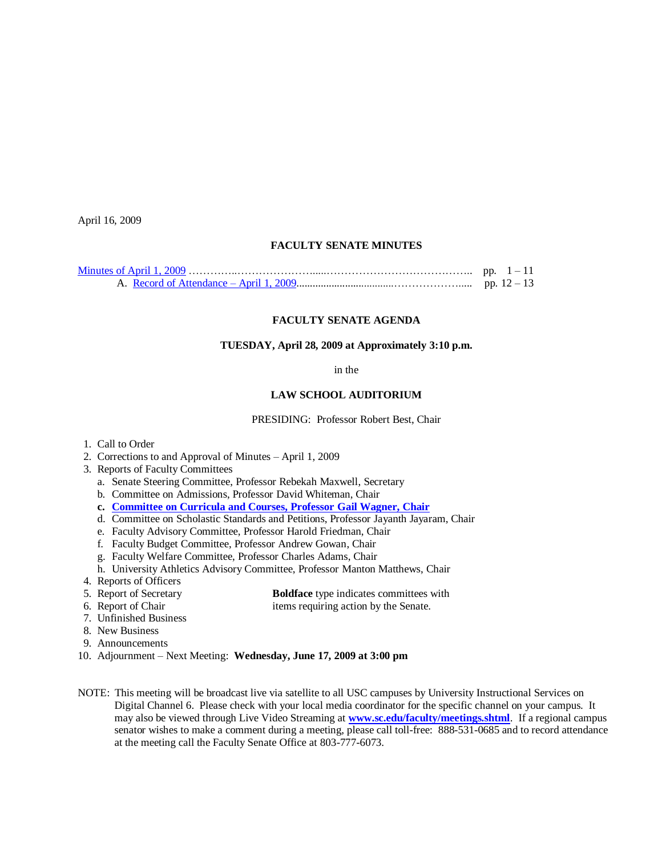April 16, 2009

## **FACULTY SENATE MINUTES**

## **FACULTY SENATE AGENDA**

### **TUESDAY, April 28, 2009 at Approximately 3:10 p.m.**

#### in the

# **LAW SCHOOL AUDITORIUM**

#### PRESIDING: Professor Robert Best, Chair

- 1. Call to Order
- 2. Corrections to and Approval of Minutes April 1, 2009
- 3. Reports of Faculty Committees
	- a. Senate Steering Committee, Professor Rebekah Maxwell, Secretary
	- b. Committee on Admissions, Professor David Whiteman, Chair
	- **c. [Committee on Curricula and Courses, Professor Gail Wagner, Chair](http://www.sc.edu/faculty/senate/09/agenda/0428.cc.pdf)**
	- d. Committee on Scholastic Standards and Petitions, Professor Jayanth Jayaram, Chair
	- e. Faculty Advisory Committee, Professor Harold Friedman, Chair
	- f. Faculty Budget Committee, Professor Andrew Gowan, Chair
	- g. Faculty Welfare Committee, Professor Charles Adams, Chair
	- h. University Athletics Advisory Committee, Professor Manton Matthews, Chair
- 4. Reports of Officers

| 5. Report of Secretary | <b>Boldface</b> type indicates committees with |
|------------------------|------------------------------------------------|
|------------------------|------------------------------------------------|

- 6. Report of Chair items requiring action by the Senate.
- 7. Unfinished Business
- 8. New Business
- 9. Announcements
- 10. Adjournment Next Meeting: **Wednesday, June 17, 2009 at 3:00 pm**
- NOTE: This meeting will be broadcast live via satellite to all USC campuses by University Instructional Services on Digital Channel 6. Please check with your local media coordinator for the specific channel on your campus. It may also be viewed through Live Video Streaming at **[www.sc.edu/faculty/meetings.shtml](http://www.sc.edu/faculty/meetings.shtml)**. If a regional campus senator wishes to make a comment during a meeting, please call toll-free: 888-531-0685 and to record attendance at the meeting call the Faculty Senate Office at 803-777-6073.